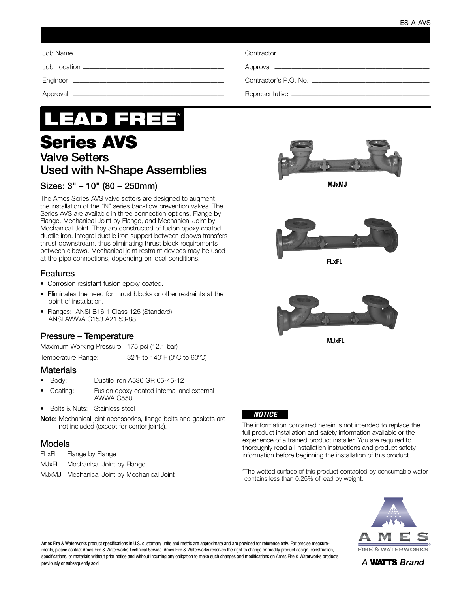| Contractor <u>Contractor</u> |
|------------------------------|
|                              |
|                              |
|                              |



# Series AVS Valve Setters Used with N-Shape Assemblies

# Sizes: 3" – 10" (80 – 250mm)

The Ames Series AVS valve setters are designed to augment the installation of the "N" series backflow prevention valves. The Series AVS are available in three connection options, Flange by Flange, Mechanical Joint by Flange, and Mechanical Joint by Mechanical Joint. They are constructed of fusion epoxy coated ductile iron. Integral ductile iron support between elbows transfers thrust downstream, thus eliminating thrust block requirements between elbows. Mechanical joint restraint devices may be used at the pipe connections, depending on local conditions.

#### **Features**

- Corrosion resistant fusion epoxy coated.
- Eliminates the need for thrust blocks or other restraints at the point of installation.
- Flanges: ANSI B16.1 Class 125 (Standard) ANSI AWWA C153 A21.53-88

# Pressure – Temperature

Maximum Working Pressure: 175 psi (12.1 bar)

Temperature Range: 32ºF to 140ºF (0ºC to 60ºC)

#### **Materials**

- Body: Ductile iron A536 GR 65-45-12
- Coating: Fusion epoxy coated internal and external AWWA C550
- Bolts & Nuts: Stainless steel
- Note: Mechanical joint accessories, flange bolts and gaskets are not included (except for center joints).

## Models

- FLxFL Flange by Flange
- MJxFL Mechanical Joint by Flange
- MJxMJ Mechanical Joint by Mechanical Joint



MJxMJ



FLxFL



MJxFL



The information contained herein is not intended to replace the full product installation and safety information available or the experience of a trained product installer. You are required to thoroughly read all installation instructions and product safety information before beginning the installation of this product.

\*The wetted surface of this product contacted by consumable water contains less than 0.25% of lead by weight.



Ames Fire & Waterworks product specifications in U.S. customary units and metric are approximate and are provided for reference only. For precise measurements, please contact Ames Fire & Waterworks Technical Service. Ames Fire & Waterworks reserves the right to change or modify product design, construction, specifications, or materials without prior notice and without incurring any obligation to make such changes and modifications on Ames Fire & Waterworks products previously or subsequently sold.

A WATTS Brand